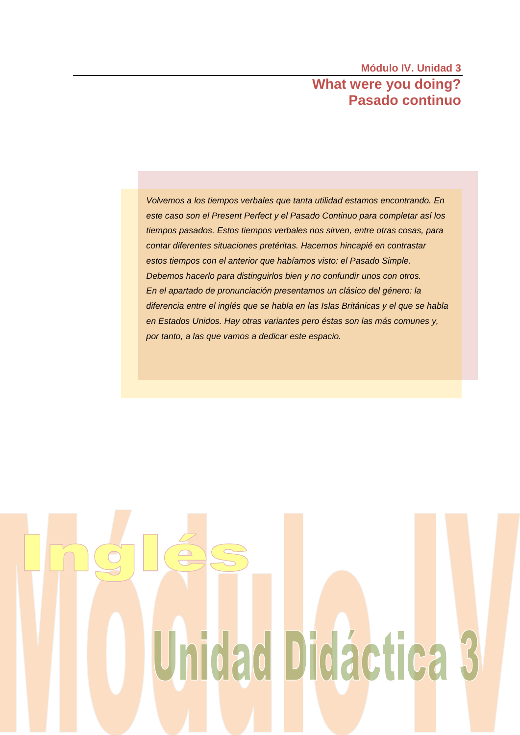# **Módulo IV. Unidad 3 What were you doing? Pasado continuo**

*Volvemos a los tiempos verbales que tanta utilidad estamos encontrando. En este caso son el Present Perfect y el Pasado Continuo para completar así los tiempos pasados. Estos tiempos verbales nos sirven, entre otras cosas, para contar diferentes situaciones pretéritas. Hacemos hincapié en contrastar estos tiempos con el anterior que habíamos visto: el Pasado Simple. Debemos hacerlo para distinguirlos bien y no confundir unos con otros. En el apartado de pronunciación presentamos un clásico del género: la diferencia entre el inglés que se habla en las Islas Británicas y el que se habla en Estados Unidos. Hay otras variantes pero éstas son las más comunes y, por tanto, a las que vamos a dedicar este espacio.*

# Unidad Didáctica 3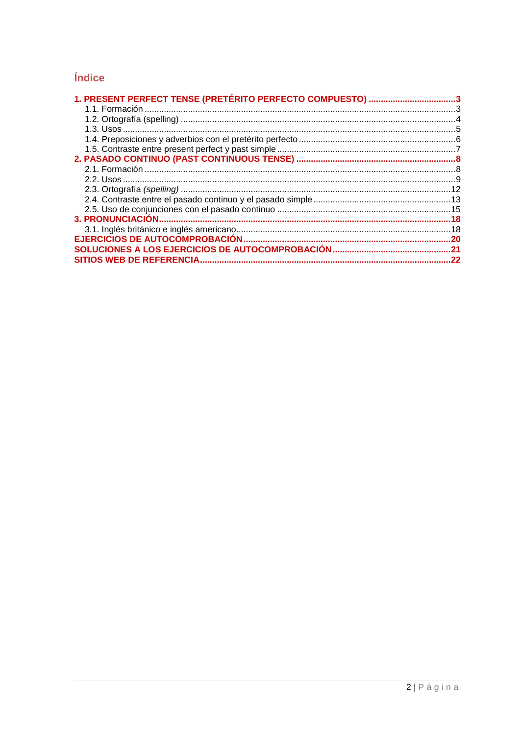# Índice

| 1. PRESENT PERFECT TENSE (PRETÉRITO PERFECTO COMPUESTO) 3 |     |
|-----------------------------------------------------------|-----|
|                                                           |     |
|                                                           |     |
|                                                           |     |
|                                                           |     |
|                                                           |     |
|                                                           |     |
|                                                           |     |
|                                                           |     |
|                                                           |     |
|                                                           |     |
|                                                           |     |
|                                                           | .18 |
|                                                           |     |
|                                                           |     |
|                                                           |     |
|                                                           | .22 |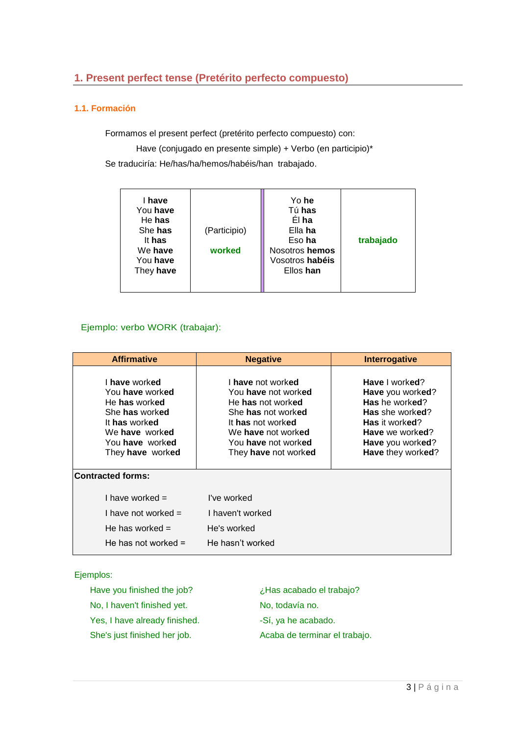# <span id="page-2-0"></span>**1. Present perfect tense (Pretérito perfecto compuesto)**

#### <span id="page-2-1"></span>**1.1. Formación**

Formamos el present perfect (pretérito perfecto compuesto) con:

Have (conjugado en presente simple) + Verbo (en participio)\* Se traduciría: He/has/ha/hemos/habéis/han trabajado.

| I have<br>You have<br>He has<br>She has<br>It has<br>We have<br>You have<br>They have | (Participio)<br>worked | Yo he<br>Tú has<br>El ha<br>Ella ha<br>Eso ha<br>Nosotros hemos<br>Vosotros habéis<br>Ellos han | trabajado |
|---------------------------------------------------------------------------------------|------------------------|-------------------------------------------------------------------------------------------------|-----------|
|---------------------------------------------------------------------------------------|------------------------|-------------------------------------------------------------------------------------------------|-----------|

# Ejemplo: verbo WORK (trabajar):

| <b>Affirmative</b>                                                                                                                            | <b>Negative</b>                                                                                                                                                                      | Interrogative                                                                                                                                         |
|-----------------------------------------------------------------------------------------------------------------------------------------------|--------------------------------------------------------------------------------------------------------------------------------------------------------------------------------------|-------------------------------------------------------------------------------------------------------------------------------------------------------|
| I have worked<br>You have worked<br>He has worked<br>She has worked<br>It has worked<br>We have worked<br>You have worked<br>They have worked | I have not worked<br>You have not worked<br>He has not worked<br>She has not worked<br>It has not worked<br>We have not worked<br>You have not worked<br>They <b>have</b> not worked | Have I worked?<br>Have you worked?<br>Has he worked?<br>Has she worked?<br>Has it worked?<br>Have we worked?<br>Have you worked?<br>Have they worked? |
| <b>Contracted forms:</b>                                                                                                                      |                                                                                                                                                                                      |                                                                                                                                                       |
| I have worked $=$<br>I have not worked $=$<br>He has worked $=$<br>He has not worked $=$                                                      | I've worked<br>I haven't worked<br>He's worked<br>He hasn't worked                                                                                                                   |                                                                                                                                                       |

Ejemplos:

| Have you finished the job?    | ¿Has acabado el trabajo?      |
|-------------------------------|-------------------------------|
| No, I haven't finished yet.   | No, todavía no.               |
| Yes, I have already finished. | -Sí, ya he acabado.           |
| She's just finished her job.  | Acaba de terminar el trabajo. |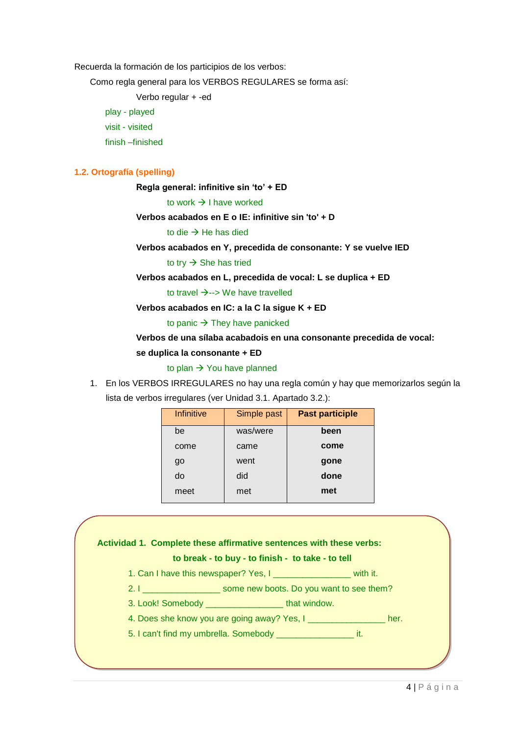Recuerda la formación de los participios de los verbos:

Como regla general para los VERBOS REGULARES se forma así:

Verbo regular + -ed

play - played visit - visited finish –finished

#### <span id="page-3-0"></span>**1.2. Ortografía (spelling)**

**Regla general: infinitive sin 'to' + ED**

to work  $\rightarrow$  I have worked

**Verbos acabados en E o IE: infinitive sin 'to' + D**

to die  $\rightarrow$  He has died

#### **Verbos acabados en Y, precedida de consonante: Y se vuelve IED**

#### to try  $\rightarrow$  She has tried

**Verbos acabados en L, precedida de vocal: L se duplica + ED**

to travel  $\rightarrow$  --> We have travelled

**Verbos acabados en IC: a la C la sigue K + ED**

to panic  $\rightarrow$  They have panicked

#### **Verbos de una sílaba acabadois en una consonante precedida de vocal:**

#### **se duplica la consonante + ED**

to plan  $\rightarrow$  You have planned

1. En los VERBOS IRREGULARES no hay una regla común y hay que memorizarlos según la lista de verbos irregulares (ver Unidad 3.1. Apartado 3.2.):

| Infinitive | Simple past | <b>Past participle</b> |
|------------|-------------|------------------------|
| be         | was/were    | been                   |
| come       | came        | come                   |
| go         | went        | gone                   |
| do         | did         | done                   |
| meet       | met         | met                    |

# **Actividad 1. Complete these affirmative sentences with these verbs:**

# **to break - to buy - to finish - to take - to tell**

- 1. Can I have this newspaper? Yes, I \_\_\_\_\_\_\_\_\_\_\_\_\_\_\_\_ with it.
- 2. I \_\_\_\_\_\_\_\_\_\_\_\_\_\_\_\_\_\_\_\_\_\_ some new boots. Do you want to see them?
- 3. Look! Somebody \_\_\_\_\_\_\_\_\_\_\_\_\_\_\_\_ that window.
- 4. Does she know you are going away? Yes, I \_\_\_\_\_\_\_\_\_\_\_\_\_\_\_\_\_\_\_ her.
- 5. I can't find my umbrella. Somebody \_\_\_\_\_\_\_\_\_\_\_\_\_\_\_\_ it.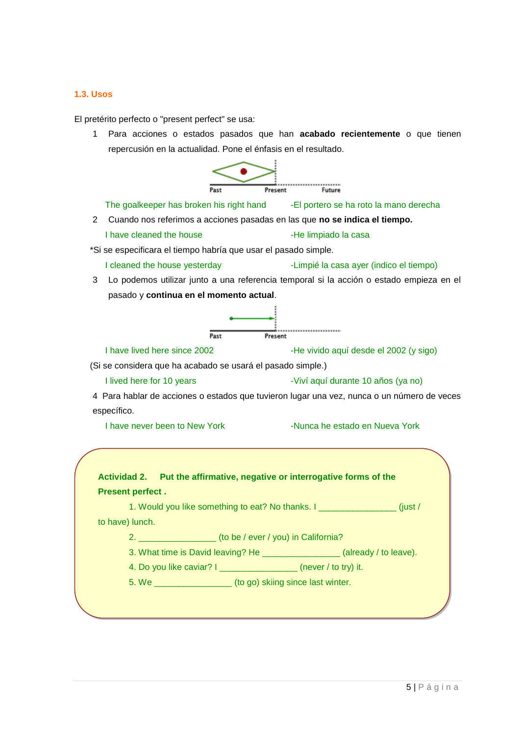#### <span id="page-4-0"></span>**1.3. Usos**

El pretérito perfecto o "present perfect" se usa:

1 Para acciones o estados pasados que han **acabado recientemente** o que tienen repercusión en la actualidad. Pone el énfasis en el resultado.



The goalkeeper has broken his right hand -El portero se ha roto la mano derecha

- 2 Cuando nos referimos a acciones pasadas en las que **no se indica el tiempo.**
	- I have cleaned the house  $\overline{\phantom{a}}$  -He limpiado la casa

\*Si se especificara el tiempo habría que usar el [pasado simple.](http://www.vitutor.com/gramatica_inglesa/verb_tense/simple_past.html)

- I cleaned the house yesterday -Limpié la casa ayer (indico el tiempo)
- 3 Lo podemos utilizar junto a una referencia temporal si la acción o estado empieza en el pasado y **continua en el momento actual**.



I have lived here since 2002  $\overline{\phantom{0}}$  -He vivido aquí desde el 2002 (y sigo)

(Si se considera que ha acabado se usará el pasado simple.)

I lived here for 10 years -Viví aquí durante 10 años (ya no)

4 Para hablar de acciones o estados que tuvieron lugar una vez, nunca o un número de veces específico.

I have never been to New York -Nunca he estado en Nueva York

| <b>Actividad 2.</b>     | Put the affirmative, negative or interrogative forms of the |  |
|-------------------------|-------------------------------------------------------------|--|
| <b>Present perfect.</b> |                                                             |  |
|                         |                                                             |  |

1. Would you like something to eat? No thanks. I \_\_\_\_\_\_\_\_\_\_\_\_\_\_\_\_ (just / to have) lunch.

2. \_\_\_\_\_\_\_\_\_\_\_\_\_\_\_\_ (to be / ever / you) in California?

3. What time is David leaving? He \_\_\_\_\_\_\_\_\_\_\_\_\_\_\_\_ (already / to leave).

4. Do you like caviar? I \_\_\_\_\_\_\_\_\_\_\_\_\_\_\_\_ (never / to try) it.

5. We \_\_\_\_\_\_\_\_\_\_\_\_\_\_\_\_ (to go) skiing since last winter.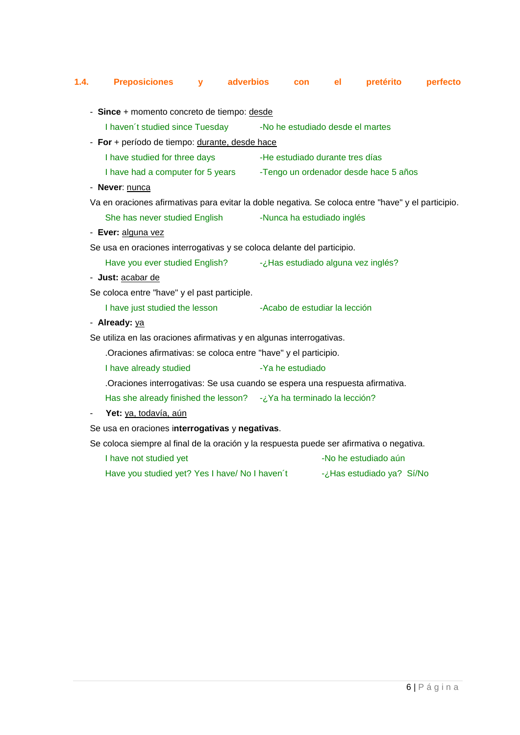# <span id="page-5-0"></span>**1.4. Preposiciones y adverbios con el pretérito perfecto**

| - Since + momento concreto de tiempo: desde                                  |                                                                                                    |  |
|------------------------------------------------------------------------------|----------------------------------------------------------------------------------------------------|--|
| I haven't studied since Tuesday                                              | -No he estudiado desde el martes                                                                   |  |
| - For + período de tiempo: durante, desde hace                               |                                                                                                    |  |
| I have studied for three days                                                | -He estudiado durante tres días                                                                    |  |
| I have had a computer for 5 years                                            | -Tengo un ordenador desde hace 5 años                                                              |  |
| - Never: nunca                                                               |                                                                                                    |  |
|                                                                              | Va en oraciones afirmativas para evitar la doble negativa. Se coloca entre "have" y el participio. |  |
| She has never studied English                                                | -Nunca ha estudiado inglés                                                                         |  |
| - Ever: alguna vez                                                           |                                                                                                    |  |
| Se usa en oraciones interrogativas y se coloca delante del participio.       |                                                                                                    |  |
| Have you ever studied English? - jHas estudiado alguna vez inglés?           |                                                                                                    |  |
| - Just: acabar de                                                            |                                                                                                    |  |
| Se coloca entre "have" y el past participle.                                 |                                                                                                    |  |
| I have just studied the lesson                                               | -Acabo de estudiar la lección                                                                      |  |
| - Already: ya                                                                |                                                                                                    |  |
| Se utiliza en las oraciones afirmativas y en algunas interrogativas.         |                                                                                                    |  |
| .Oraciones afirmativas: se coloca entre "have" y el participio.              |                                                                                                    |  |
| I have already studied                                                       | -Ya he estudiado                                                                                   |  |
| .Oraciones interrogativas: Se usa cuando se espera una respuesta afirmativa. |                                                                                                    |  |
| Has she already finished the lesson? - ¿Ya ha terminado la lección?          |                                                                                                    |  |
| Yet: ya, todavía, aún                                                        |                                                                                                    |  |
| Se usa en oraciones interrogativas y negativas.                              |                                                                                                    |  |
|                                                                              | Se coloca siempre al final de la oración y la respuesta puede ser afirmativa o negativa.           |  |
| I have not studied yet                                                       | -No he estudiado aún                                                                               |  |
| Have you studied yet? Yes I have/ No I haven't                               | -¿Has estudiado ya? Sí/No                                                                          |  |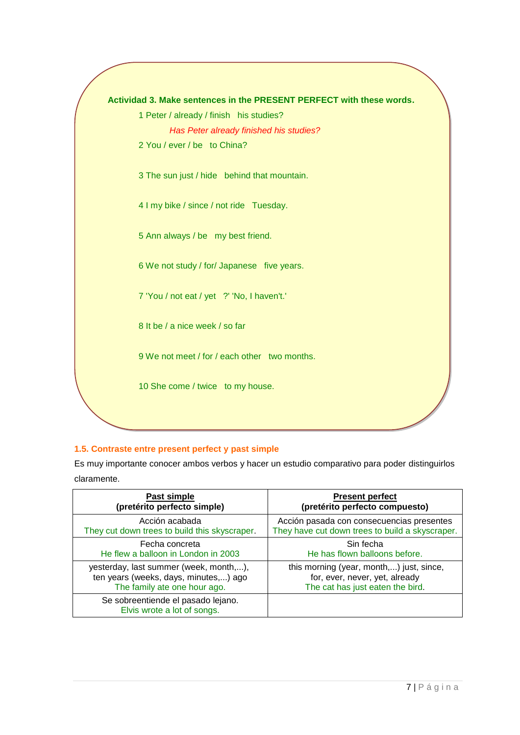

## <span id="page-6-0"></span>**1.5. Contraste entre present perfect y past simple**

Es muy importante conocer ambos verbos y hacer un estudio comparativo para poder distinguirlos claramente.

| Past simple                                                       | <b>Present perfect</b>                          |
|-------------------------------------------------------------------|-------------------------------------------------|
| (pretérito perfecto simple)                                       | (pretérito perfecto compuesto)                  |
| Acción acabada                                                    | Acción pasada con consecuencias presentes       |
| They cut down trees to build this skyscraper.                     | They have cut down trees to build a skyscraper. |
| Fecha concreta                                                    | Sin fecha                                       |
| He flew a balloon in London in 2003                               | He has flown balloons before.                   |
| yesterday, last summer (week, month,),                            | this morning (year, month,) just, since,        |
| ten years (weeks, days, minutes,) ago                             | for, ever, never, yet, already                  |
| The family ate one hour ago.                                      | The cat has just eaten the bird.                |
| Se sobreentiende el pasado lejano.<br>Elvis wrote a lot of songs. |                                                 |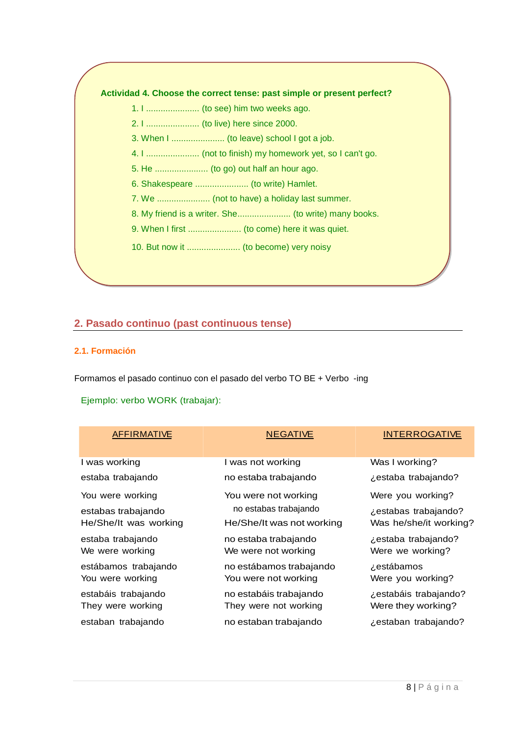#### **Actividad 4. Choose the correct tense: past simple or present perfect?**

- 1. I ...................... (to see) him two weeks ago.
- 2. I ...................... (to live) here since 2000.
- 3. When I ...................... (to leave) school I got a job.
- 4. I ...................... (not to finish) my homework yet, so I can't go.
- 5. He ...................... (to go) out half an hour ago.
- 6. Shakespeare ...................... (to write) Hamlet.
- 7. We ...................... (not to have) a holiday last summer.
- 8. My friend is a writer. She......................... (to write) many books.
- 9. When I first ........................ (to come) here it was quiet.
- 10. But now it ...................... (to become) very noisy

# <span id="page-7-0"></span>**2. Pasado continuo (past continuous tense)**

#### <span id="page-7-1"></span>**2.1. Formación**

Formamos el pasado continuo con el pasado del verbo TO BE + Verbo -ing

## Ejemplo: verbo WORK (trabajar):

| AFFIRMATIVE           | <b>NEGATIVE</b>           | <b>INTERROGATIVE</b>   |
|-----------------------|---------------------------|------------------------|
| I was working         | I was not working         | Was I working?         |
| estaba trabajando     | no estaba trabajando      | ¿estaba trabajando?    |
| You were working      | You were not working      | Were you working?      |
| estabas trabajando    | no estabas trabajando     | ¿estabas trabajando?   |
| He/She/It was working | He/She/It was not working | Was he/she/it working? |
| estaba trabajando     | no estaba trabajando      | ¿estaba trabajando?    |
| We were working       | We were not working       | Were we working?       |
| estábamos trabajando  | no estábamos trabajando   | zestábamos             |
| You were working      | You were not working      | Were you working?      |
| estabáis trabajando   | no estabáis trabajando    | ¿estabáis trabajando?  |
| They were working     | They were not working     | Were they working?     |
| estaban trabajando    | no estaban trabajando     | ¿estaban trabajando?   |
|                       |                           |                        |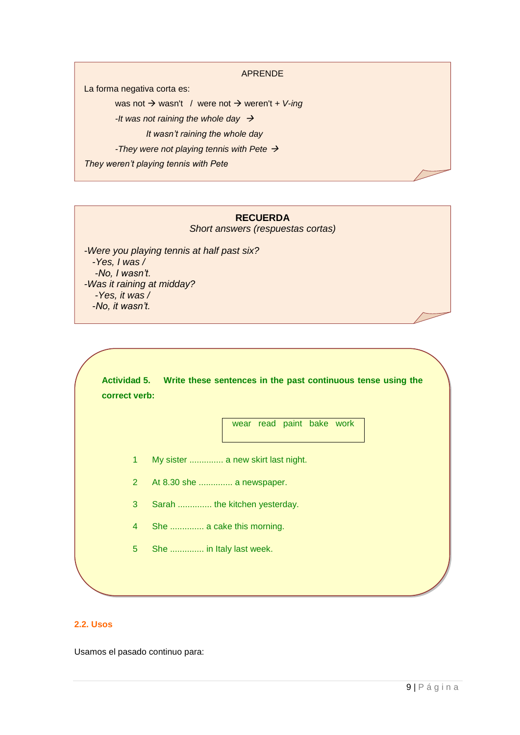#### APRENDE

La forma negativa corta es:

was not → wasn't / were not → weren't + V-ing

*-It was not raining the whole day* 

*It wasn't raining the whole day* 

*-They were not playing tennis with Pete* 

*They weren't playing tennis with Pete*

# **RECUERDA**

*Short answers (respuestas cortas)*

*-Were you playing tennis at half past six? -Yes, I was / -No, I wasn't. -Was it raining at midday? -Yes, it was / -No, it wasn't.*

**Actividad 5. Write these sentences in the past continuous tense using the correct verb:**

wear read paint bake work

- 1 My sister .............. a new skirt last night.
- 2 At 8.30 she .............. a newspaper.
- 3 Sarah .............. the kitchen yesterday.
- 4 She .............. a cake this morning.
- 5 She .............. in Italy last week.

#### <span id="page-8-0"></span>**2.2. Usos**

Usamos el pasado continuo para: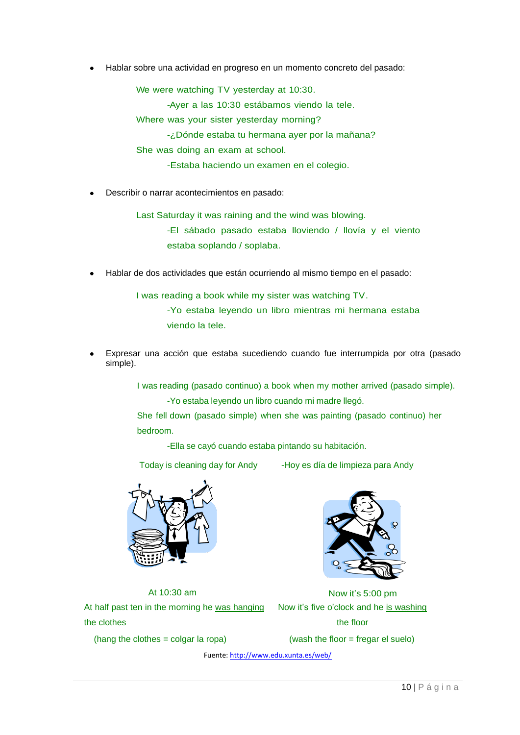Hablar sobre una actividad en progreso en un momento concreto del pasado:

We were watching TV yesterday at 10:30.

-Ayer a las 10:30 estábamos viendo la tele.

Where was your sister yesterday morning?

-¿Dónde estaba tu hermana ayer por la mañana?

She was doing an exam at school.

-Estaba haciendo un examen en el colegio.

Describir o narrar acontecimientos en pasado:

Last Saturday it was raining and the wind was blowing.

-El sábado pasado estaba lloviendo / llovía y el viento estaba soplando / soplaba.

Hablar de dos actividades que están ocurriendo al mismo tiempo en el pasado:

I was reading a book while my sister was watching TV. -Yo estaba leyendo un libro mientras mi hermana estaba viendo la tele.

Expresar una acción que estaba sucediendo cuando fue interrumpida por otra (pasado simple).

> I was reading (pasado continuo) a book when my mother arrived (pasado simple). -Yo estaba leyendo un libro cuando mi madre llegó.

She fell down (pasado simple) when she was painting (pasado continuo) her bedroom.

-Ella se cayó cuando estaba pintando su habitación.

Today is cleaning day for Andy -Hoy es día de limpieza para Andy



At half past ten in the morning he was hanging the clothes

(hang the clothes  $=$  colgar la ropa)



At 10:30 am Now it's 5:00 pm Now it's five o'clock and he is washing the floor

(wash the floor  $=$  fregar el suelo)

Fuente[: http://www.edu.xunta.es/web/](http://www.edu.xunta.es/web/)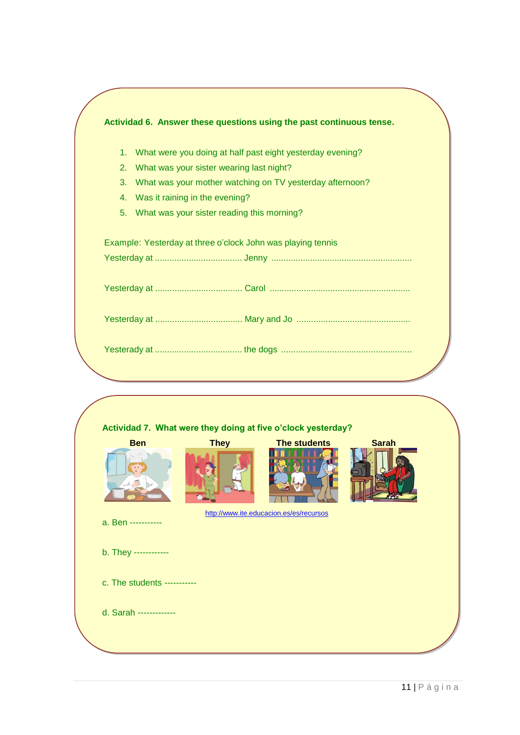| 1. | What were you doing at half past eight yesterday evening? |
|----|-----------------------------------------------------------|
| 2. | What was your sister wearing last night?                  |
| 3. | What was your mother watching on TV yesterday afternoon?  |
| 4. | Was it raining in the evening?                            |
| 5. | What was your sister reading this morning?                |
|    |                                                           |
|    |                                                           |
|    |                                                           |

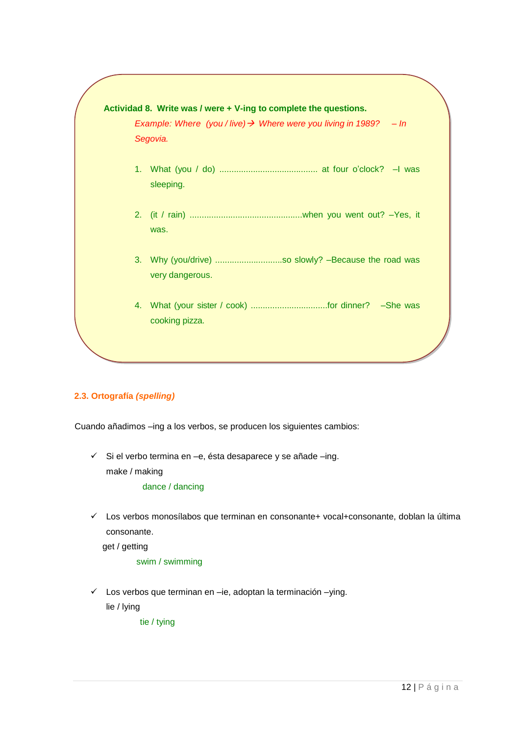

# <span id="page-11-0"></span>**2.3. Ortografía** *(spelling)*

Cuando añadimos –ing a los verbos, se producen los siguientes cambios:

 $\checkmark$  Si el verbo termina en –e, ésta desaparece y se añade –ing. make / making

dance / dancing

 $\checkmark$  Los verbos monosílabos que terminan en consonante+ vocal+consonante, doblan la última consonante.

get / getting

swim / swimming

 $\checkmark$  Los verbos que terminan en –ie, adoptan la terminación –ying. lie / lying

tie / tying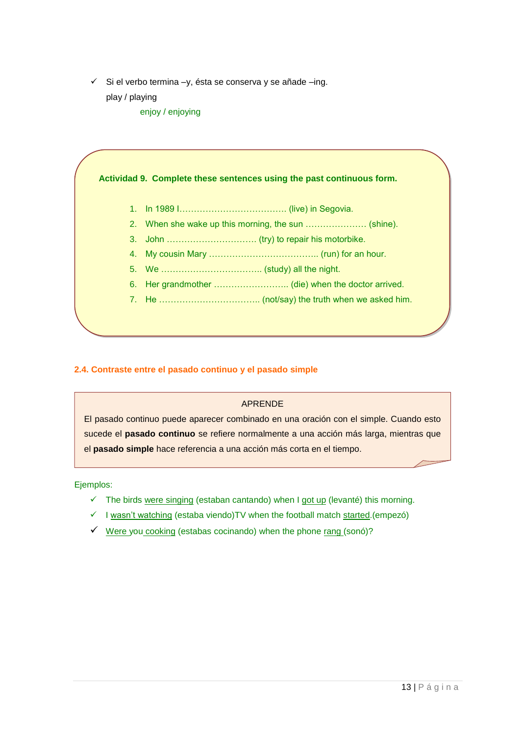- $\checkmark$  Si el verbo termina –y, ésta se conserva y se añade –ing.
	- play / playing
		- enjoy / enjoying

**Actividad 9. Complete these sentences using the past continuous form.**

- 1. In 1989 I………………………………. (live) in Segovia.
- 2. When she wake up this morning, the sun ………………… (shine).
- 3. John …………………………. (try) to repair his motorbike.
- 4. My cousin Mary ……………………………….. (run) for an hour.
- 5. We …………………………….. (study) all the night.
- 6. Her grandmother …………………….. (die) when the doctor arrived.
- 7. He …………………………….. (not/say) the truth when we asked him.

#### <span id="page-12-0"></span>**2.4. Contraste entre el pasado continuo y el pasado simple**

#### APRENDE

El pasado continuo puede aparecer combinado en una oración con el simple. Cuando esto sucede el **pasado continuo** se refiere normalmente a una acción más larga, mientras que el **pasado simple** hace referencia a una acción más corta en el tiempo.

Ejemplos:

- $\checkmark$  The birds were singing (estaban cantando) when I got up (levanté) this morning.
- $\checkmark$  I wasn't watching (estaba viendo)TV when the football match started.(empezó)
- $\checkmark$  Were you cooking (estabas cocinando) when the phone rang (sonó)?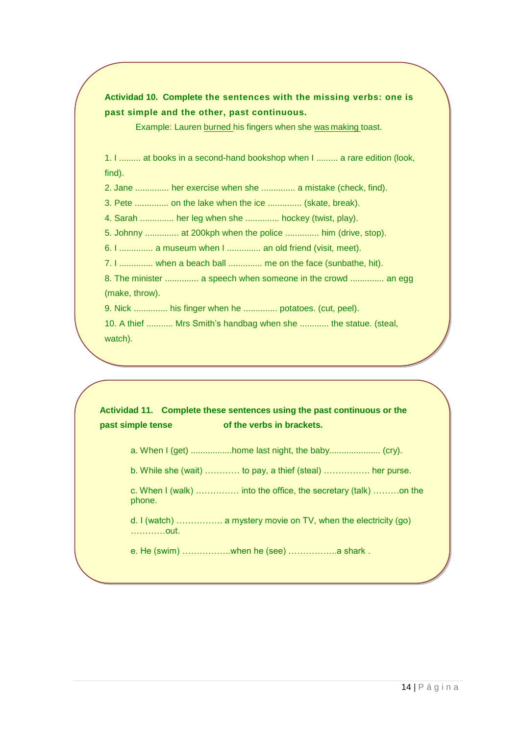**Actividad 10. Complete the sentences with the missing verbs: one is past simple and the other, past continuous.**

Example: Lauren burned his fingers when she was making toast.

1. I ......... at books in a second-hand bookshop when I ......... a rare edition (look, find).

2. Jane .............. her exercise when she .............. a mistake (check, find).

3. Pete .............. on the lake when the ice .............. (skate, break).

4. Sarah .............. her leg when she .............. hockey (twist, play).

5. Johnny .............. at 200kph when the police .............. him (drive, stop).

6. I .............. a museum when I .............. an old friend (visit, meet).

7. I .............. when a beach ball .............. me on the face (sunbathe, hit).

8. The minister .............. a speech when someone in the crowd .............. an egg (make, throw).

9. Nick .............. his finger when he .............. potatoes. (cut, peel).

10. A thief ........... Mrs Smith's handbag when she ............ the statue. (steal, watch).

**Actividad 11. Complete these sentences using the past continuous or the past simple tense of the verbs in brackets.** 

a. When I (get) .................home last night, the baby..................... (cry).

b. While she (wait) ………… to pay, a thief (steal) ……………. her purse.

c. When I (walk) …………… into the office, the secretary (talk) ………on the phone.

d. I (watch) ……………. a mystery movie on TV, when the electricity (go) …………out.

e. He (swim) ……………..when he (see) ……………..a shark .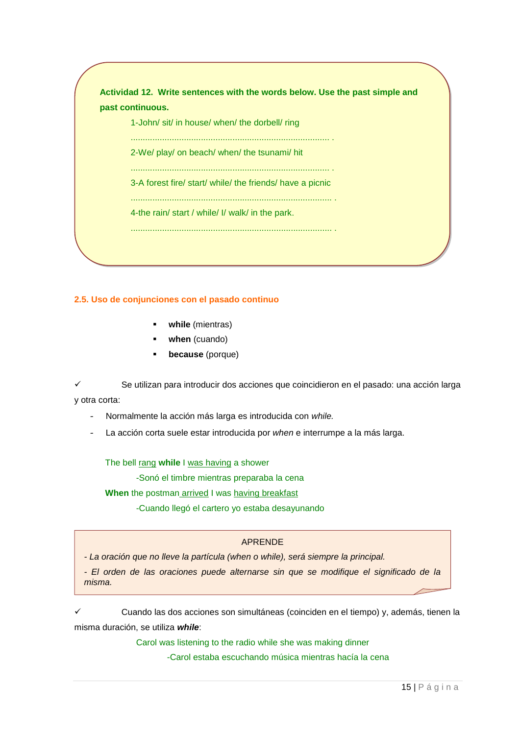| past continuous.                                          |
|-----------------------------------------------------------|
| 1-John/ sit/ in house/ when/ the dorbell/ ring            |
| 2-We/ play/ on beach/ when/ the tsunami/ hit              |
|                                                           |
| 3-A forest fire/ start/ while/ the friends/ have a picnic |
|                                                           |
| 4-the rain/ start / while/ I/ walk/ in the park.          |

#### <span id="page-14-0"></span>**2.5. Uso de conjunciones con el pasado continuo**

- **while** (mientras)
- **when** (cuando)
- **because** (porque)

 Se utilizan para introducir dos acciones que coincidieron en el pasado: una acción larga y otra corta:

- Normalmente la acción más larga es introducida con *while.*

- La acción corta suele estar introducida por *when* e interrumpe a la más larga.

The bell rang **while** I was having a shower

-Sonó el timbre mientras preparaba la cena

**When** the postman arrived I was having breakfast

-Cuando llegó el cartero yo estaba desayunando

#### APRENDE

*- La oración que no lleve la partícula (when o while), será siempre la principal.*

*- El orden de las oraciones puede alternarse sin que se modifique el significado de la misma.*

 Cuando las dos acciones son simultáneas (coinciden en el tiempo) y, además, tienen la misma duración, se utiliza *while*:

Carol was listening to the radio while she was making dinner

-Carol estaba escuchando música mientras hacía la cena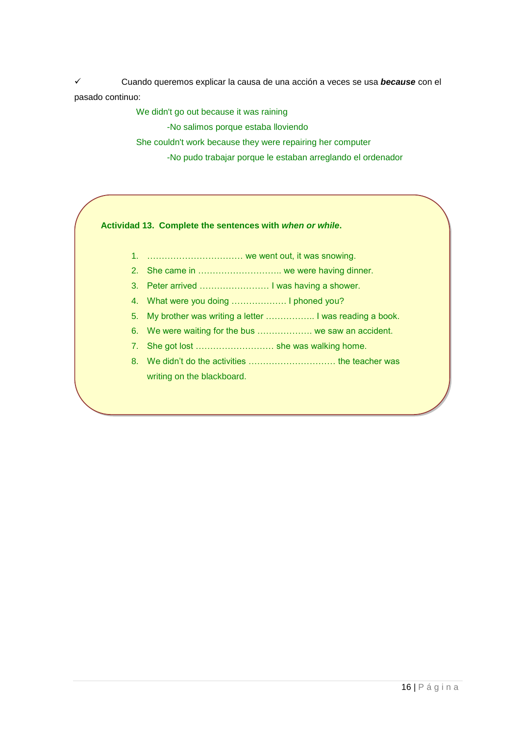Cuando queremos explicar la causa de una acción a veces se usa *because* con el pasado continuo:

We didn't go out because it was raining

-No salimos porque estaba lloviendo

She couldn't work because they were repairing her computer

-No pudo trabajar porque le estaban arreglando el ordenador

**Actividad 13. Complete the sentences with** *when or while***.**

- 1. …………………………… we went out, it was snowing.
- 2. She came in ............................... we were having dinner.
- 3. Peter arrived …………………… I was having a shower.
- 4. What were you doing ………………. I phoned you?
- 5. My brother was writing a letter …………….. I was reading a book.
- 6. We were waiting for the bus ………………. we saw an accident.
- 7. She got lost ……………………… she was walking home.
- 8. We didn't do the activities ………………………… the teacher was writing on the blackboard.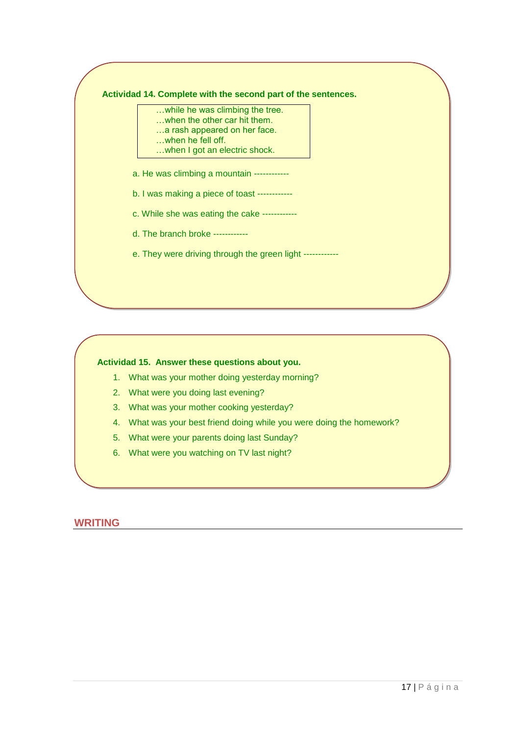#### **Actividad 14. Complete with the second part of the sentences.**

- …while he was climbing the tree.
	- …when the other car hit them. …a rash appeared on her face.
- …when he fell off.
- …when I got an electric shock.
- a. He was climbing a mountain ------------
- b. I was making a piece of toast ------------
- c. While she was eating the cake ------------
- d. The branch broke ------------
- e. They were driving through the green light ------------

### **Actividad 15. Answer these questions about you.**

- 1. What was your mother doing yesterday morning?
- 2. What were you doing last evening?
- 3. What was your mother cooking yesterday?
- 4. What was your best friend doing while you were doing the homework?
- 5. What were your parents doing last Sunday?
- 6. What were you watching on TV last night?

## **WRITING**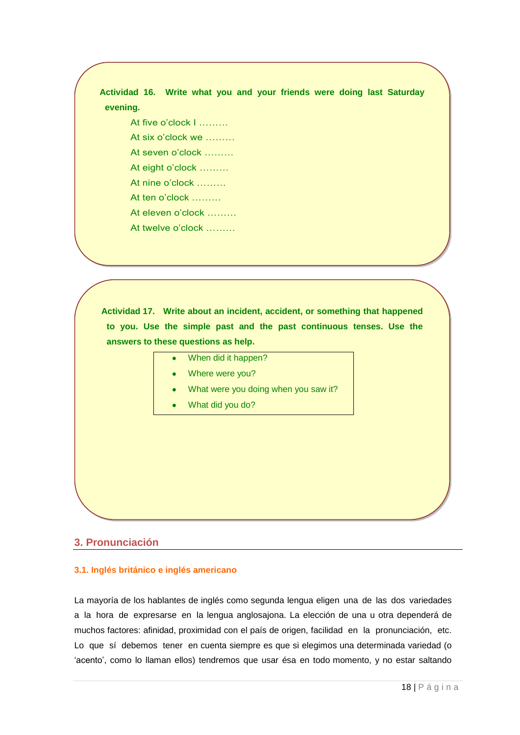**Actividad 16. Write what you and your friends were doing last Saturday evening.**

At five o'clock I ………

At six o'clock we ………

At seven o'clock ………

At eight o'clock ………

At nine o'clock ………

At ten o'clock ………

At eleven o'clock ………

At twelve o'clock ………

**Actividad 17. Write about an incident, accident, or something that happened to you. Use the simple past and the past continuous tenses. Use the answers to these questions as help.**

| When did it happen? |  |
|---------------------|--|
|---------------------|--|

- Where were you?
- What were you doing when you saw it?
- What did you do?

## <span id="page-17-0"></span>**3. Pronunciación**

#### <span id="page-17-1"></span>**3.1. Inglés británico e inglés americano**

La mayoría de los hablantes de inglés como segunda lengua eligen una de las dos variedades a la hora de expresarse en la lengua anglosajona. La elección de una u otra dependerá de muchos factores: afinidad, proximidad con el país de origen, facilidad en la pronunciación, etc. Lo que sí debemos tener en cuenta siempre es que si elegimos una determinada variedad (o 'acento', como lo llaman ellos) tendremos que usar ésa en todo momento, y no estar saltando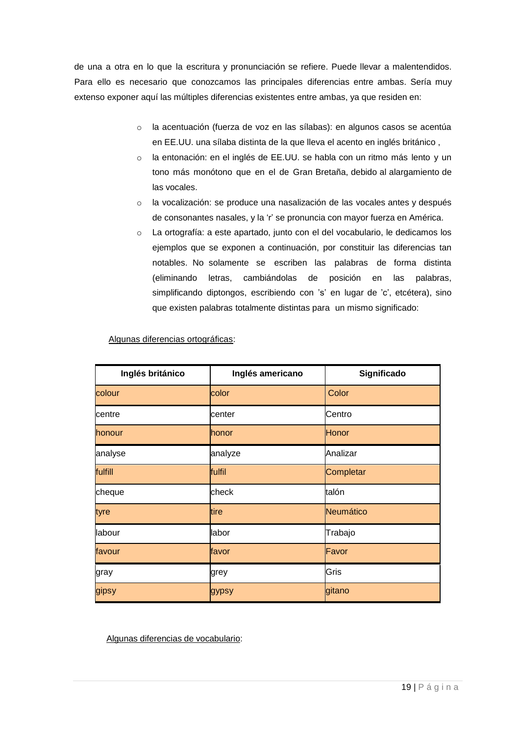de una a otra en lo que la escritura y pronunciación se refiere. Puede llevar a malentendidos. Para ello es necesario que conozcamos las principales diferencias entre ambas. Sería muy extenso exponer aquí las múltiples diferencias existentes entre ambas, ya que residen en:

- o la acentuación (fuerza de voz en las sílabas): en algunos casos se acentúa en EE.UU. una sílaba distinta de la que lleva el acento en inglés británico ,
- o la entonación: en el inglés de EE.UU. se habla con un ritmo más lento y un tono más monótono que en el de Gran Bretaña, debido al alargamiento de las vocales.
- o la vocalización: se produce una nasalización de las vocales antes y después de consonantes nasales, y la 'r' se pronuncia con mayor fuerza en América.
- o La ortografía: a este apartado, junto con el del vocabulario, le dedicamos los ejemplos que se exponen a continuación, por constituir las diferencias tan notables. No solamente se escriben las palabras de forma distinta (eliminando letras, cambiándolas de posición en las palabras, simplificando diptongos, escribiendo con 's' en lugar de 'c', etcétera), sino que existen palabras totalmente distintas para un mismo significado:

| Inglés británico | Inglés americano | Significado |  |
|------------------|------------------|-------------|--|
| colour           | color            | Color       |  |
| centre           | center           | Centro      |  |
| honour           | <b>honor</b>     | Honor       |  |
| analyse          | analyze          | Analizar    |  |
| fulfill          | fulfil           | Completar   |  |
| cheque           | check            | talón       |  |
| tyre             | tire             | Neumático   |  |
| labour           | labor            | Trabajo     |  |
| favour           | favor            | Favor       |  |
| gray             | grey             | Gris        |  |
| gipsy            | gypsy            | gitano      |  |

Algunas diferencias ortográficas:

Algunas diferencias de vocabulario: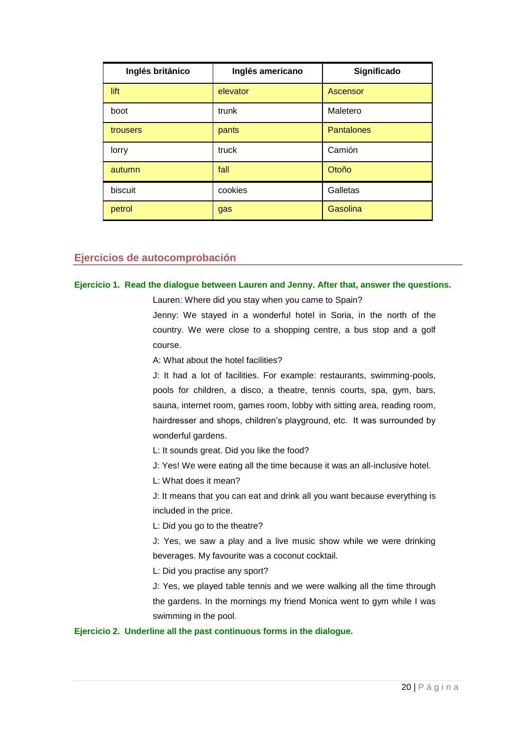| Inglés británico | Inglés americano | Significado       |  |
|------------------|------------------|-------------------|--|
| lift             | elevator         | Ascensor          |  |
| boot             | trunk            | Maletero          |  |
| trousers         | pants            | <b>Pantalones</b> |  |
| lorry            | truck            | Camión            |  |
| autumn           | fall             | Otoño             |  |
| biscuit          | cookies          | Galletas          |  |
| petrol           | gas              | Gasolina          |  |

## <span id="page-19-0"></span>**Ejercicios de autocomprobación**

#### **Ejercicio 1. Read the dialogue between Lauren and Jenny. After that, answer the questions.**

Lauren: Where did you stay when you came to Spain? Jenny: We stayed in a wonderful hotel in Soria, in the north of the country. We were close to a shopping centre, a bus stop and a golf course.

A: What about the hotel facilities?

J: It had a lot of facilities. For example: restaurants, swimming-pools, pools for children, a disco, a theatre, tennis courts, spa, gym, bars, sauna, internet room, games room, lobby with sitting area, reading room, hairdresser and shops, children's playground, etc. It was surrounded by wonderful gardens.

L: It sounds great. Did you like the food?

J: Yes! We were eating all the time because it was an all-inclusive hotel.

L: What does it mean?

J: It means that you can eat and drink all you want because everything is included in the price.

L: Did you go to the theatre?

J: Yes, we saw a play and a live music show while we were drinking beverages. My favourite was a coconut cocktail.

L: Did you practise any sport?

J: Yes, we played table tennis and we were walking all the time through the gardens. In the mornings my friend Monica went to gym while I was swimming in the pool.

#### **Ejercicio 2. Underline all the past continuous forms in the dialogue.**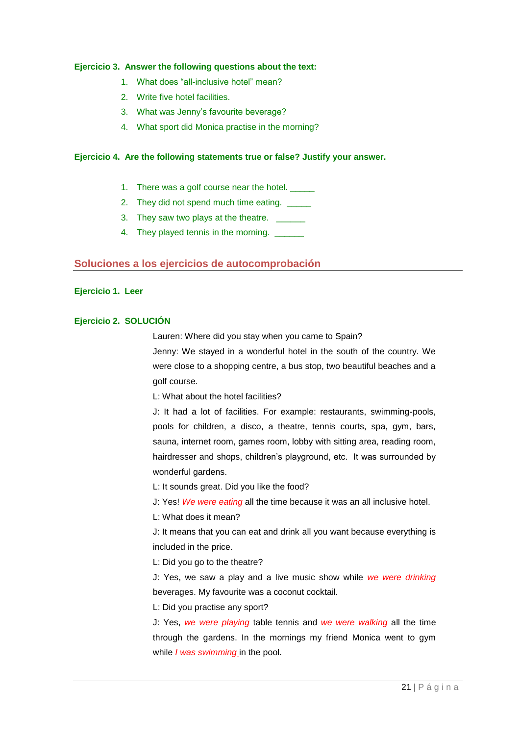#### **Ejercicio 3. Answer the following questions about the text:**

- 1. What does "all-inclusive hotel" mean?
- 2. Write five hotel facilities.
- 3. What was Jenny's favourite beverage?
- 4. What sport did Monica practise in the morning?

#### **Ejercicio 4. Are the following statements true or false? Justify your answer.**

- 1. There was a golf course near the hotel.
- 2. They did not spend much time eating.
- 3. They saw two plays at the theatre.
- 4. They played tennis in the morning.

### <span id="page-20-0"></span>**Soluciones a los ejercicios de autocomprobación**

#### **Ejercicio 1. Leer**

#### **Ejercicio 2. SOLUCIÓN**

Lauren: Where did you stay when you came to Spain?

Jenny: We stayed in a wonderful hotel in the south of the country. We were close to a shopping centre, a bus stop, two beautiful beaches and a golf course.

L: What about the hotel facilities?

J: It had a lot of facilities. For example: restaurants, swimming-pools, pools for children, a disco, a theatre, tennis courts, spa, gym, bars, sauna, internet room, games room, lobby with sitting area, reading room, hairdresser and shops, children's playground, etc. It was surrounded by wonderful gardens.

L: It sounds great. Did you like the food?

J: Yes! *We were eating* all the time because it was an all inclusive hotel.

L: What does it mean?

J: It means that you can eat and drink all you want because everything is included in the price.

L: Did you go to the theatre?

J: Yes, we saw a play and a live music show while *we were drinking* beverages. My favourite was a coconut cocktail.

L: Did you practise any sport?

J: Yes, *we were playing* table tennis and *we were walking* all the time through the gardens. In the mornings my friend Monica went to gym while *I was swimming* in the pool.